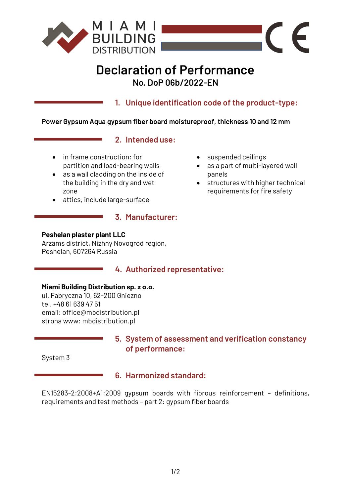

# **Declaration of Performance No. DoP 06b/2022-EN**

**1. Unique identification code of the product-type:**

## **Power Gypsum Aqua gypsum fiber board moistureproof, thickness 10 and 12 mm**

# **2. Intended use:**

- in frame construction: for partition and load-bearing walls
- as a wall cladding on the inside of the building in the dry and wet zone
- attics, include large-surface

## **3. Manufacturer:**

#### **Peshelan plaster plant LLC**

Arzams district, Nizhny Novogrod region, Peshelan, 607264 Russia

# **4. Authorized representative:**

#### **Miami Building Distribution sp. z o.o.**

ul. Fabryczna 10, 62-200 Gniezno tel. +48 61 639 47 51 email: office@mbdistribution.pl strona www: mbdistribution.pl

# **5. System of assessment and verification constancy of performance:**

System 3

# **6. Harmonized standard:**

EN15283-2:2008+A1:2009 gypsum boards with fibrous reinforcement – definitions, requirements and test methods – part 2: gypsum fiber boards

- suspended ceilings
- as a part of multi-layered wall panels

 $\epsilon$ 

 $\blacksquare$ 

• structures with higher technical requirements for fire safety